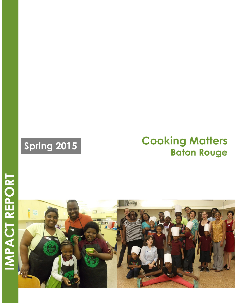# **Spring 2015 Cooking Matters Baton Rouge**

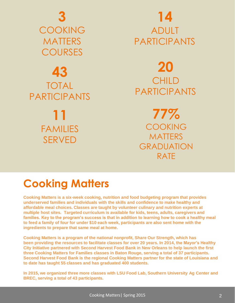

# **43** TOTAL PARTICIPANTS

**11** FAMILIES SERVED

# **14** ADULT PARTICIPANTS

# **20** CHILD PARTICIPANTS

**77% COOKING** MATTERS GRADUATION RATE

# **Cooking Matters**

**Cooking Matters is a six-week cooking, nutrition and food budgeting program that provides underserved families and individuals with the skills and confidence to make healthy and affordable meal choices. Classes are taught by volunteer culinary and nutrition experts at multiple host sites. Targeted curriculum is available for kids, teens, adults, caregivers and families. Key to the program's success is that in addition to learning how to cook a healthy meal to feed a family of four for under \$10 each week, participants are also sent home with the ingredients to prepare that same meal at home.**

**Cooking Matters is a program of the national nonprofit, Share Our Strength, which has been providing the resources to facilitate classes for over 20 years. In 2014, the Mayor's Healthy City Initiative partnered with Second Harvest Food Bank in New Orleans to help launch the first three Cooking Matters for Families classes in Baton Rouge, serving a total of 37 participants. Second Harvest Food Bank is the regional Cooking Matters partner for the state of Louisiana and to date has taught 55 classes and has graduated 400 students.**

**In 2015, we organized three more classes with LSU Food Lab, Southern University Ag Center and BREC, serving a total of 43 participants.**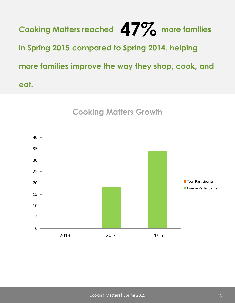**Cooking Matters reached 4 / 2 more families in Spring 2015 compared to Spring 2014, helping more families improve the way they shop, cook, and eat. 47%**



**Cooking Matters Growth**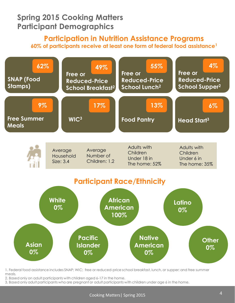### **Spring 2015 Cooking Matters Participant Demographics**

#### **Participation in Nutrition Assistance Programs 60% of participants receive at least one form of federal food assistance<sup>1</sup>**



1. Federal food assistance includes SNAP; WIC; free or reduced-price school breakfast, lunch, or supper; and free summer meals.

2. Based only on adult participants with children aged 6-17 in the home.

3. Based only adult participants who are pregnant or adult participants with children under age 6 in the home.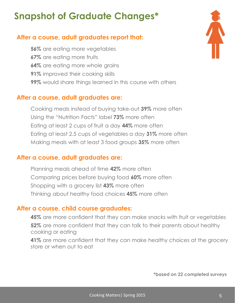## **Snapshot of Graduate Changes\***

### **After a course, adult graduates report that:**

**56%** are eating more vegetables **67%** are eating more fruits **64%** are eating more whole grains **91%** improved their cooking skills **99%** would share things learned in this course with others

#### **After a course, adult graduates are:**

Cooking meals instead of buying take-out **39%** more often Using the "Nutrition Facts" label **73%** more often Eating at least 2 cups of fruit a day **44%** more often Eating at least 2.5 cups of vegetables a day **31%** more often Making meals with at least 3 food groups **35%** more often

#### **After a course, adult graduates are:**

Planning meals ahead of time **42%** more often Comparing prices before buying food **60%** more often Shopping with a grocery list **43%** more often Thinking about healthy food choices **45%** more often

#### **After a course, child course graduates:**

**45%** are more confident that they can make snacks with fruit or vegetables **52%** are more confident that they can talk to their parents about healthy cooking or eating

**41%** are more confident that they can make healthy choices at the grocery store or when out to eat

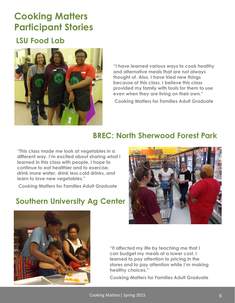### **Cooking Matters Participant Stories**

### **LSU Food Lab**



**"I have learned various ways to cook healthy and alternative meals that are not always thought of. Also, I have tried new things because of this class. I believe this class provided my family with tools for them to use even when they are living on their own."**

**Cooking Matters for Families Adult Graduate** 

### **BREC: North Sherwood Forest Park**

**"This class made me look at vegetables in a different way. I'm excited about sharing what I learned in this class with people. I hope to continue to eat healthier and to exercise, drink more water, drink less cold drinks, and learn to love new vegetables."**

**Cooking Matters for Families Adult Graduate** 

### **Southern University Ag Center**





**"It affected my life by teaching me that I can budget my meals at a lower cost. I learned to pay attention to pricing in the stores and to pay attention while I'm making healthy choices."**

**Cooking Matters for Families Adult Graduate**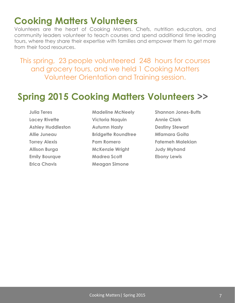### **Cooking Matters Volunteers**

Volunteers are the heart of Cooking Matters. Chefs, nutrition educators, and community leaders volunteer to teach courses and spend additional time leading tours, where they share their expertise with families and empower them to get more from their food resources.

This spring, 23 people volunteered 248 hours for courses and grocery tours, and we held 1 Cooking Matters Volunteer Orientation and Training session.

### **Spring 2015 Cooking Matters Volunteers >>**

- **Julia Teres Lacey Rivette Ashley Huddleston Allie Juneau Torrey Alexis Allison Burga Emily Bourque Erica Chavis**
- **Madeline McNeely Victoria Naquin Autumn Hasty Bridgette Roundtree Pam Romero McKenzie Wright Madrea Scott Meagan Simone**
- **Shannon Jones-Butts Annie Clark Destiny Stewart Mfamara Goita Fatemeh Malekian Judy Myhand Ebony Lewis**